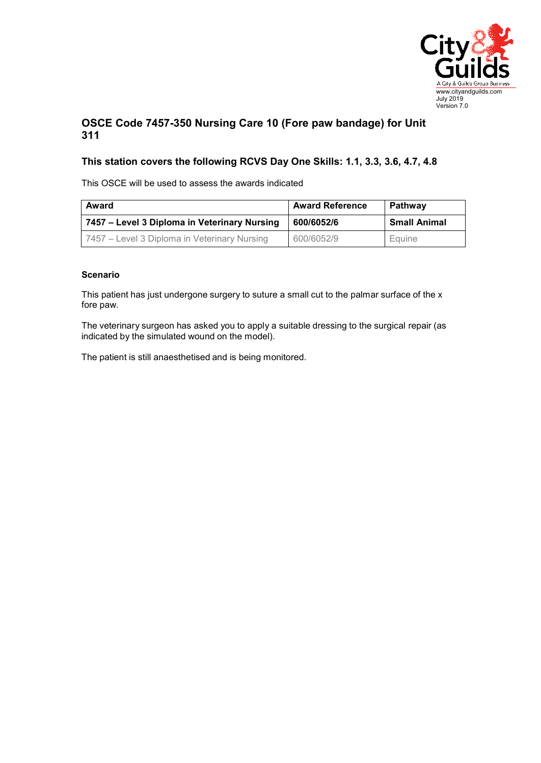

## **OSCE Code 7457-350 Nursing Care 10 (Fore paw bandage) for Unit 311**

## **This station covers the following RCVS Day One Skills: 1.1, 3.3, 3.6, 4.7, 4.8**

This OSCE will be used to assess the awards indicated

| Award                                        | <b>Award Reference</b> | <b>Pathway</b>      |
|----------------------------------------------|------------------------|---------------------|
| 7457 – Level 3 Diploma in Veterinary Nursing | 600/6052/6             | <b>Small Animal</b> |
| 7457 – Level 3 Diploma in Veterinary Nursing | 600/6052/9             | Equine              |

## **Scenario**

This patient has just undergone surgery to suture a small cut to the palmar surface of the x fore paw.

The veterinary surgeon has asked you to apply a suitable dressing to the surgical repair (as indicated by the simulated wound on the model).

The patient is still anaesthetised and is being monitored.